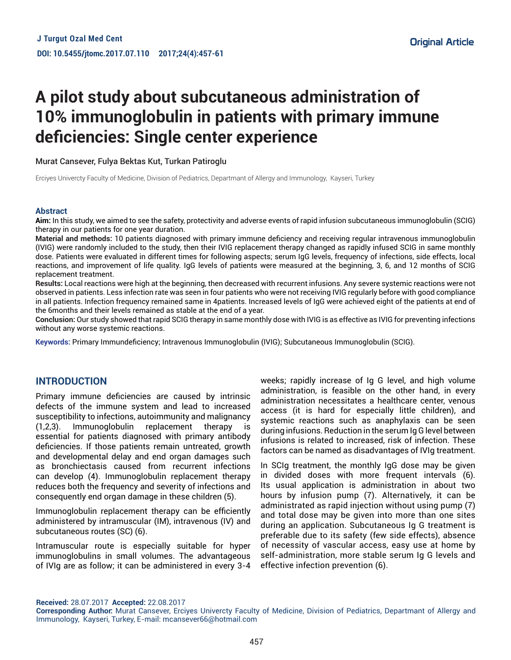# **A pilot study about subcutaneous administration of 10% immunoglobulin in patients with primary immune deficiencies: Single center experience**

Murat Cansever, Fulya Bektas Kut, Turkan Patiroglu

Erciyes Univercty Faculty of Medicine, Division of Pediatrics, Departmant of Allergy and Immunology, Kayseri, Turkey

#### **Abstract**

**Aim:** In this study, we aimed to see the safety, protectivity and adverse events of rapid infusion subcutaneous immunoglobulin (SCIG) therapy in our patients for one year duration.

**Material and methods:** 10 patients diagnosed with primary immune deficiency and receiving regular intravenous immunoglobulin (IVIG) were randomly included to the study, then their IVIG replacement therapy changed as rapidly infused SCIG in same monthly dose. Patients were evaluated in different times for following aspects; serum IgG levels, frequency of infections, side effects, local reactions, and improvement of life quality. IgG levels of patients were measured at the beginning, 3, 6, and 12 months of SCIG replacement treatment.

**Results:** Local reactions were high at the beginning, then decreased with recurrent infusions. Any severe systemic reactions were not observed in patients. Less infection rate was seen in four patients who were not receiving IVIG regularly before with good compliance in all patients. Infection frequency remained same in 4patients. Increased levels of IgG were achieved eight of the patients at end of the 6months and their levels remained as stable at the end of a year.

**Conclusion:** Our study showed that rapid SCIG therapy in same monthly dose with IVIG is as effective as IVIG for preventing infections without any worse systemic reactions.

**Keywords:** Primary Immundeficiency; Intravenous Immunoglobulin (IVIG); Subcutaneous Immunoglobulin (SCIG).

# **INTRODUCTION**

Primary immune deficiencies are caused by intrinsic defects of the immune system and lead to increased susceptibility to infections, autoimmunity and malignancy (1,2,3). Immunoglobulin replacement therapy is essential for patients diagnosed with primary antibody deficiencies. If those patients remain untreated, growth and developmental delay and end organ damages such as bronchiectasis caused from recurrent infections can develop (4). Immunoglobulin replacement therapy reduces both the frequency and severity of infections and consequently end organ damage in these children (5).

Immunoglobulin replacement therapy can be efficiently administered by intramuscular (IM), intravenous (IV) and subcutaneous routes (SC) (6).

Intramuscular route is especially suitable for hyper immunoglobulins in small volumes. The advantageous of IVIg are as follow; it can be administered in every 3-4 weeks; rapidly increase of Ig G level, and high volume administration, is feasible on the other hand, in every administration necessitates a healthcare center, venous access (it is hard for especially little children), and systemic reactions such as anaphylaxis can be seen during infusions. Reduction in the serum Ig G level between infusions is related to increased, risk of infection. These factors can be named as disadvantages of IVIg treatment.

In SCIg treatment, the monthly IgG dose may be given in divided doses with more frequent intervals (6). Its usual application is administration in about two hours by infusion pump (7). Alternatively, it can be administrated as rapid injection without using pump (7) and total dose may be given into more than one sites during an application. Subcutaneous Ig G treatment is preferable due to its safety (few side effects), absence of necessity of vascular access, easy use at home by self-administration, more stable serum Ig G levels and effective infection prevention (6).

**Received:** 28.07.2017 **Accepted:** 22.08.2017

**Corresponding Author:** Murat Cansever, Erciyes Univercty Faculty of Medicine, Division of Pediatrics, Departmant of Allergy and Immunology, Kayseri, Turkey, E-mail: mcansever66@hotmail.com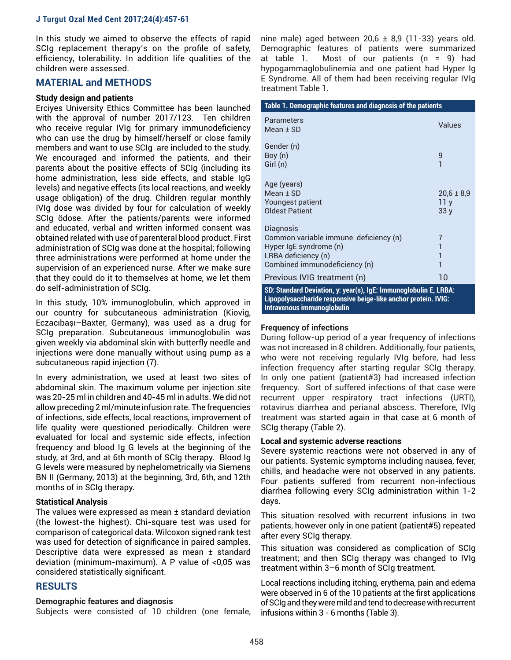In this study we aimed to observe the effects of rapid SCIg replacement therapy's on the profile of safety, efficiency, tolerability. In addition life qualities of the children were assessed.

# **MATERIAL and METHODS**

#### **Study design and patients**

Erciyes University Ethics Committee has been launched with the approval of number 2017/123. Ten children who receive regular IVIg for primary immunodeficiency who can use the drug by himself/herself or close family members and want to use SCIg are included to the study. We encouraged and informed the patients, and their parents about the positive effects of SCIg (including its home administration, less side effects, and stable IgG levels) and negative effects (its local reactions, and weekly usage obligation) of the drug. Children regular monthly IVIg dose was divided by four for calculation of weekly SCIg ödose. After the patients/parents were informed and educated, verbal and written informed consent was obtained related with use of parenteral blood product. First administration of SCIg was done at the hospital; following three administrations were performed at home under the supervision of an experienced nurse. After we make sure that they could do it to themselves at home, we let them do self-administration of SCIg.

In this study, 10% immunoglobulin, which approved in our country for subcutaneous administration (Kiovig, Eczacıbaşı–Baxter, Germany), was used as a drug for SCIg preparation. Subcutaneous immunoglobulin was given weekly via abdominal skin with butterfly needle and injections were done manually without using pump as a subcutaneous rapid injection (7).

In every administration, we used at least two sites of abdominal skin. The maximum volume per injection site was 20-25 ml in children and 40-45 ml in adults. We did not allow preceding 2 ml/minute infusion rate. The frequencies of infections, side effects, local reactions, improvement of life quality were questioned periodically. Children were evaluated for local and systemic side effects, infection frequency and blood Ig G levels at the beginning of the study, at 3rd, and at 6th month of SCIg therapy. Blood Ig G levels were measured by nephelometrically via Siemens BN II (Germany, 2013) at the beginning, 3rd, 6th, and 12th months of in SCIg therapy.

#### **Statistical Analysis**

The values were expressed as mean ± standard deviation (the lowest-the highest). Chi-square test was used for comparison of categorical data. Wilcoxon signed rank test was used for detection of significance in paired samples. Descriptive data were expressed as mean ± standard deviation (minimum-maximum). A P value of <0,05 was considered statistically significant.

# **RESULTS**

#### **Demographic features and diagnosis**

Subjects were consisted of 10 children (one female,

nine male) aged between 20,6  $\pm$  8,9 (11-33) years old. Demographic features of patients were summarized at table 1. Most of our patients (n = 9) had hypogammaglobulinemia and one patient had Hyper Ig E Syndrome. All of them had been receiving regular IVIg treatment Table 1.

| Table 1. Demographic features and diagnosis of the patients                                                                          |                                          |  |
|--------------------------------------------------------------------------------------------------------------------------------------|------------------------------------------|--|
| <b>Parameters</b><br>Mean $±$ SD                                                                                                     | Values                                   |  |
| Gender (n)<br>Boy (n)<br>Girl (n)                                                                                                    | 9                                        |  |
| Age (years)<br>$Mean + SD$<br>Youngest patient<br><b>Oldest Patient</b>                                                              | $20,6 \pm 8,9$<br>11 <sub>v</sub><br>33y |  |
| Diagnosis<br>Common variable immune deficiency (n)<br>Hyper IqE syndrome (n)<br>LRBA deficiency (n)<br>Combined immunodeficiency (n) | 7                                        |  |
| Previous IVIG treatment (n)                                                                                                          | 10                                       |  |
| SD: Standard Deviation, y: year(s), IgE: Immunoglobulin E, LRBA:<br>Lipopolysaccharide responsive beige-like anchor protein. IVIG:   |                                          |  |

# **Intravenous immunoglobulin**

#### **Frequency of infections**

During follow-up period of a year frequency of infections was not increased in 8 children. Additionally, four patients, who were not receiving regularly IVIg before, had less infection frequency after starting regular SCIg therapy. In only one patient (patient#3) had increased infection frequency. Sort of suffered infections of that case were recurrent upper respiratory tract infections (URTI), rotavirus diarrhea and perianal abscess. Therefore, IVIg treatment was started again in that case at 6 month of SCIg therapy (Table 2).

#### **Local and systemic adverse reactions**

Severe systemic reactions were not observed in any of our patients. Systemic symptoms including nausea, fever, chills, and headache were not observed in any patients. Four patients suffered from recurrent non-infectious diarrhea following every SCIg administration within 1-2 days.

This situation resolved with recurrent infusions in two patients, however only in one patient (patient#5) repeated after every SCIg therapy.

This situation was considered as complication of SCIg treatment; and then SCIg therapy was changed to IVIg treatment within 3–6 month of SCIg treatment.

Local reactions including itching, erythema, pain and edema were observed in 6 of the 10 patients at the first applications of SCIg and they were mild and tend to decrease with recurrent infusions within 3 - 6 months (Table 3).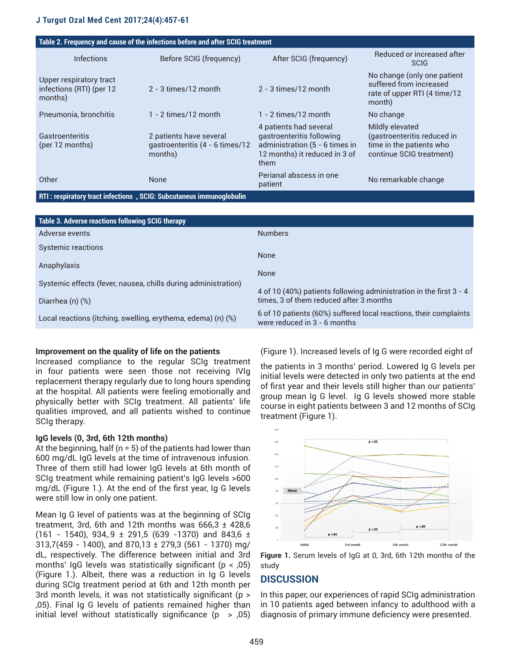| Table 2. Frequency and cause of the infections before and after SCIG treatment |                                                                       |                                                                                                                                |                                                                                                        |  |
|--------------------------------------------------------------------------------|-----------------------------------------------------------------------|--------------------------------------------------------------------------------------------------------------------------------|--------------------------------------------------------------------------------------------------------|--|
| <b>Infections</b>                                                              | Before SCIG (frequency)                                               | After SCIG (frequency)                                                                                                         | Reduced or increased after<br><b>SCIG</b>                                                              |  |
| Upper respiratory tract<br>infections (RTI) (per 12<br>months)                 | $2 - 3$ times/12 month                                                | $2 - 3$ times/12 month                                                                                                         | No change (only one patient<br>suffered from increased<br>rate of upper RTI (4 time/12<br>month)       |  |
| Pneumonia, bronchitis                                                          | $1 - 2$ times/12 month                                                | $1 - 2$ times/12 month                                                                                                         | No change                                                                                              |  |
| Gastroenteritis<br>(per 12 months)                                             | 2 patients have several<br>qastroenteritis (4 - 6 times/12<br>months) | 4 patients had several<br>qastroenteritis following<br>administration (5 - 6 times in<br>12 months) it reduced in 3 of<br>them | Mildly elevated<br>(gastroenteritis reduced in<br>time in the patients who<br>continue SCIG treatment) |  |
| Other                                                                          | <b>None</b>                                                           | Perianal abscess in one<br>patient                                                                                             | No remarkable change                                                                                   |  |

#### **RTI : respiratory tract infections , SCIG: Subcutaneus immunoglobulin**

| Table 3. Adverse reactions following SCIG therapy              |                                                                                                   |
|----------------------------------------------------------------|---------------------------------------------------------------------------------------------------|
| Adverse events                                                 | <b>Numbers</b>                                                                                    |
| Systemic reactions                                             | None                                                                                              |
| Anaphylaxis                                                    | None                                                                                              |
| Systemic effects (fever, nausea, chills during administration) | 4 of 10 (40%) patients following administration in the first 3 - 4                                |
| Diarrhea (n) (%)                                               | times, 3 of them reduced after 3 months                                                           |
| Local reactions (itching, swelling, erythema, edema) (n) (%)   | 6 of 10 patients (60%) suffered local reactions, their complaints<br>were reduced in 3 - 6 months |

#### **Improvement on the quality of life on the patients**

Increased compliance to the regular SCIg treatment in four patients were seen those not receiving IVIg replacement therapy regularly due to long hours spending at the hospital. All patients were feeling emotionally and physically better with SCIg treatment. All patients' life qualities improved, and all patients wished to continue SCIg therapy.

#### **IgG levels (0, 3rd, 6th 12th months)**

At the beginning, half ( $n = 5$ ) of the patients had lower than 600 mg/dL IgG levels at the time of intravenous infusion. Three of them still had lower IgG levels at 6th month of SCIg treatment while remaining patient's IgG levels >600 mg/dL (Figure 1.). At the end of the first year, Ig G levels were still low in only one patient.

Mean Ig G level of patients was at the beginning of SCIg treatment, 3rd, 6th and 12th months was  $666.3 \pm 428.6$  $(161 - 1540)$ , 934, 9 ± 291,5 (639 -1370) and 843,6 ± 313,7(459 - 1400), and 870,13 ± 279,3 (561 - 1370) mg/ dL, respectively. The difference between initial and 3rd months' IgG levels was statistically significant ( $p < 0.05$ ) (Figure 1.). Albeit, there was a reduction in Ig G levels during SCIg treatment period at 6th and 12th month per 3rd month levels, it was not statistically significant (p > ,05). Final Ig G levels of patients remained higher than initial level without statistically significance  $(p > 0.05)$ 

(Figure 1). Increased levels of Ig G were recorded eight of

the patients in 3 months' period. Lowered Ig G levels per initial levels were detected in only two patients at the end of first year and their levels still higher than our patients' group mean Ig G level. Ig G levels showed more stable course in eight patients between 3 and 12 months of SCIg treatment (Figure 1).



**Figure 1.** Serum levels of IgG at 0, 3rd, 6th 12th months of the study

# **DISCUSSION**

In this paper, our experiences of rapid SCIg administration in 10 patients aged between infancy to adulthood with a diagnosis of primary immune deficiency were presented.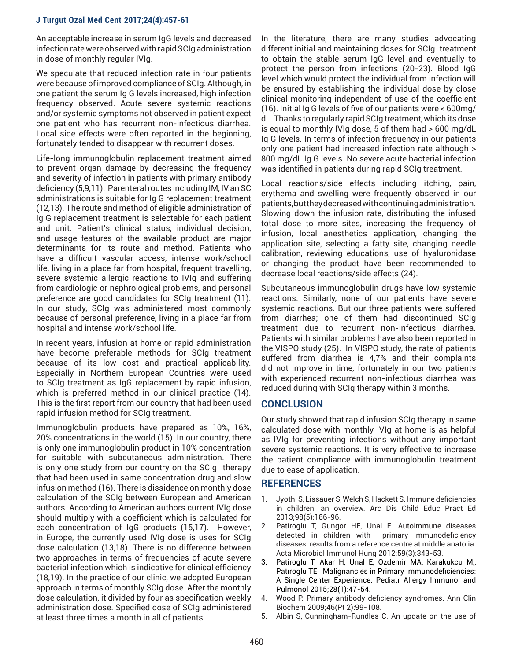An acceptable increase in serum IgG levels and decreased infection rate were observed with rapid SCIg administration in dose of monthly regular IVIg.

We speculate that reduced infection rate in four patients were because of improved compliance of SCIg. Although, in one patient the serum Ig G levels increased, high infection frequency observed. Acute severe systemic reactions and/or systemic symptoms not observed in patient expect one patient who has recurrent non-infectious diarrhea. Local side effects were often reported in the beginning, fortunately tended to disappear with recurrent doses.

Life-long immunoglobulin replacement treatment aimed to prevent organ damage by decreasing the frequency and severity of infection in patients with primary antibody deficiency (5,9,11). Parenteral routes including IM, IV an SC administrations is suitable for Ig G replacement treatment (12,13). The route and method of eligible administration of Ig G replacement treatment is selectable for each patient and unit. Patient's clinical status, individual decision, and usage features of the available product are major determinants for its route and method. Patients who have a difficult vascular access, intense work/school life, living in a place far from hospital, frequent travelling, severe systemic allergic reactions to IVIg and suffering from cardiologic or nephrological problems, and personal preference are good candidates for SCIg treatment (11). In our study, SCIg was administered most commonly because of personal preference, living in a place far from hospital and intense work/school life.

In recent years, infusion at home or rapid administration have become preferable methods for SCIg treatment because of its low cost and practical applicability. Especially in Northern European Countries were used to SCIg treatment as IgG replacement by rapid infusion, which is preferred method in our clinical practice (14). This is the first report from our country that had been used rapid infusion method for SCIg treatment.

Immunoglobulin products have prepared as 10%, 16%, 20% concentrations in the world (15). In our country, there is only one immunoglobulin product in 10% concentration for suitable with subcutaneous administration. There is only one study from our country on the SCIg therapy that had been used in same concentration drug and slow infusion method (16). There is dissidence on monthly dose calculation of the SCIg between European and American authors. According to American authors current IVIg dose should multiply with a coefficient which is calculated for each concentration of IgG products (15,17). However, in Europe, the currently used IVIg dose is uses for SCIg dose calculation (13,18). There is no difference between two approaches in terms of frequencies of acute severe bacterial infection which is indicative for clinical efficiency (18,19). In the practice of our clinic, we adopted European approach in terms of monthly SCIg dose. After the monthly dose calculation, it divided by four as specification weekly administration dose. Specified dose of SCIg administered at least three times a month in all of patients.

In the literature, there are many studies advocating different initial and maintaining doses for SCIg treatment to obtain the stable serum IgG level and eventually to protect the person from infections (20-23). Blood IgG level which would protect the individual from infection will be ensured by establishing the individual dose by close clinical monitoring independent of use of the coefficient (16). Initial Ig G levels of five of our patients were < 600mg/ dL. Thanks to regularly rapid SCIg treatment, which its dose is equal to monthly IVIg dose, 5 of them had > 600 mg/dL Ig G levels. In terms of infection frequency in our patients only one patient had increased infection rate although > 800 mg/dL Ig G levels. No severe acute bacterial infection was identified in patients during rapid SCIg treatment.

Local reactions/side effects including itching, pain, erythema and swelling were frequently observed in our patients, but they decreased with continuing administration. Slowing down the infusion rate, distributing the infused total dose to more sites, increasing the frequency of infusion, local anesthetics application, changing the application site, selecting a fatty site, changing needle calibration, reviewing educations, use of hyaluronidase or changing the product have been recommended to decrease local reactions/side effects (24).

Subcutaneous immunoglobulin drugs have low systemic reactions. Similarly, none of our patients have severe systemic reactions. But our three patients were suffered from diarrhea; one of them had discontinued SCIg treatment due to recurrent non-infectious diarrhea. Patients with similar problems have also been reported in the VISPO study (25). In VISPO study, the rate of patients suffered from diarrhea is 4,7% and their complaints did not improve in time, fortunately in our two patients with experienced recurrent non-infectious diarrhea was reduced during with SCIg therapy within 3 months.

# **CONCLUSION**

Our study showed that rapid infusion SCIg therapy in same calculated dose with monthly IVIg at home is as helpful as IVIg for preventing infections without any important severe systemic reactions. It is very effective to increase the patient compliance with immunoglobulin treatment due to ease of application.

# **REFERENCES**

- 1. Jyothi S, Lissauer S, Welch S, Hackett S. Immune deficiencies in children: an overview. Arc Dis Child Educ Pract Ed 2013;98(5):186-96.
- 2. Patiroglu T, Gungor HE, Unal E. Autoimmune diseases detected in children with primary immunodeficiency diseases: results from a reference centre at middle anatolia. Acta Microbiol Immunol Hung 2012;59(3):343-53.
- 3. Patiroglu T, Akar H, Unal E, Ozdemir MA, Karakukcu M,, Patıroglu TE. Malignancies in Primary Immunodeficiencies: A Single Center Experience. Pediatr Allergy Immunol and Pulmonol 2015;28(1):47-54.
- 4. Wood P. Primary antibody deficiency syndromes. Ann Clin Biochem 2009;46(Pt 2):99-108.
- 5. Albin S, Cunningham-Rundles C. An update on the use of